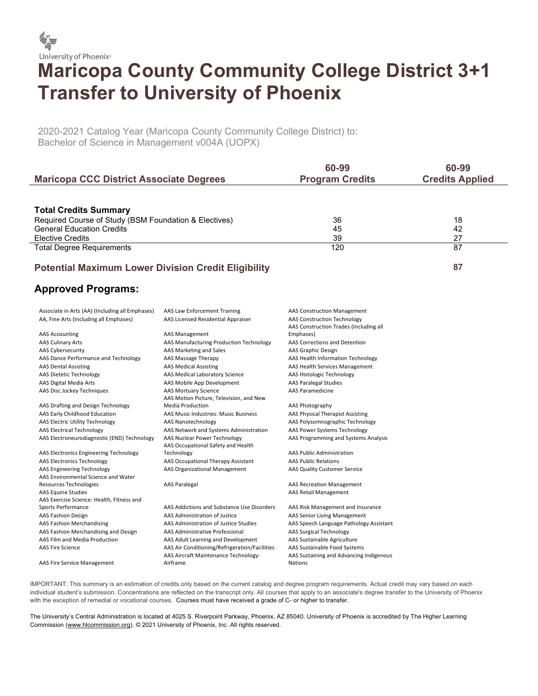

## Maricopa County Community College District 3+1 Transfer to University of Phoenix

2020-2021 Catalog Year (Maricopa County Community College District) to: Bachelor of Science in Management v004A (UOPX)

|                                                            | 60-99                  | 60-99                  |
|------------------------------------------------------------|------------------------|------------------------|
| <b>Maricopa CCC District Associate Degrees</b>             | <b>Program Credits</b> | <b>Credits Applied</b> |
|                                                            |                        |                        |
| <b>Total Credits Summary</b>                               |                        |                        |
| Required Course of Study (BSM Foundation & Electives)      | 36                     | 18                     |
| <b>General Education Credits</b>                           | 45                     | 42                     |
| <b>Elective Credits</b>                                    | 39                     | 27                     |
| <b>Total Degree Requirements</b>                           | 120                    | 87                     |
|                                                            |                        |                        |
| <b>Potential Maximum Lower Division Credit Eligibility</b> |                        | 87                     |

## Approved Programs:

| Associate in Arts (AA) (Including all Emphases) | AAS Law Enforcement Training                                       | <b>AAS Construction Management</b>                                           |
|-------------------------------------------------|--------------------------------------------------------------------|------------------------------------------------------------------------------|
| AA, Fine Arts (Including all Emphases)          | AAS Licensed Residential Appraiser                                 | <b>AAS Construction Technology</b><br>AAS Construction Trades (Including all |
| <b>AAS Accounting</b>                           | AAS Management                                                     | Emphases)                                                                    |
| <b>AAS Culinary Arts</b>                        | AAS Manufacturing Production Technology                            | AAS Corrections and Detention                                                |
| <b>AAS Cybersecurity</b>                        | AAS Marketing and Sales                                            | AAS Graphic Design                                                           |
| AAS Dance Performance and Technology            | AAS Massage Therapy                                                | AAS Health Information Technology                                            |
| <b>AAS Dental Assisting</b>                     | <b>AAS Medical Assisting</b>                                       | AAS Health Services Management                                               |
| <b>AAS Dietetic Technology</b>                  | AAS Medical Laboratory Science                                     | AAS Histologic Technology                                                    |
| AAS Digital Media Arts                          | AAS Mobile App Development                                         | <b>AAS Paralegal Studies</b>                                                 |
| AAS Disc Jockey Techniques                      | <b>AAS Mortuary Science</b>                                        | <b>AAS Paramedicine</b>                                                      |
|                                                 | AAS Motion Picture, Television, and New                            |                                                                              |
| AAS Drafting and Design Technology              | <b>Media Production</b>                                            | AAS Photography                                                              |
| AAS Early Childhood Education                   | AAS Music Industries: Music Business                               | AAS Physical Therapist Assisting                                             |
| <b>AAS Electric Utility Technology</b>          | AAS Nanotechnology                                                 | AAS Polysomnographic Technology                                              |
| <b>AAS Electrical Technology</b>                | AAS Network and Systems Administration                             | AAS Power Systems Technology                                                 |
| AAS Electroneurodiagnostic (END) Technology     | AAS Nuclear Power Technology<br>AAS Occupational Safety and Health | AAS Programming and Systems Analysis                                         |
| AAS Electronics Engineering Technology          | Technology                                                         | <b>AAS Public Administration</b>                                             |
| <b>AAS Electronics Technology</b>               | AAS Occupational Therapy Assistant                                 | <b>AAS Public Relations</b>                                                  |
| <b>AAS Engineering Technology</b>               | AAS Organizational Management                                      | AAS Quality Customer Service                                                 |
| AAS Environmental Science and Water             |                                                                    |                                                                              |
| Resources Technologies                          | <b>AAS Paralegal</b>                                               | <b>AAS Recreation Management</b>                                             |
| <b>AAS Equine Studies</b>                       |                                                                    | AAS Retail Management                                                        |
| AAS Exercise Science: Health, Fitness and       |                                                                    |                                                                              |
| Sports Performance                              | AAS Addictions and Substance Use Disorders                         | AAS Risk Management and Insurance                                            |
| <b>AAS Fashion Design</b>                       | AAS Administration of Justice                                      | AAS Senior Living Management                                                 |
| <b>AAS Fashion Merchandising</b>                | AAS Administration of Justice Studies                              | AAS Speech Language Pathology Assistant                                      |
| AAS Fashion Merchandising and Design            | AAS Administrative Professional                                    | <b>AAS Surgical Technology</b>                                               |
| AAS Film and Media Production                   | AAS Adult Learning and Development                                 | AAS Sustainable Agriculture                                                  |
| <b>AAS Fire Science</b>                         | AAS Air Conditioning/Refrigeration/Facilities                      | AAS Sustainable Food Systems                                                 |
| <b>AAS Fire Service Management</b>              | AAS Aircraft Maintenance Technology-<br>Airframe                   | AAS Sustaining and Advancing Indigenous<br><b>Nations</b>                    |

IMPORTANT: This summary is an estimation of credits only based on the current catalog and degree program requirements. Actual credit may vary based on each individual student's submission. Concentrations are reflected on the transcript only. All courses that apply to an associate's degree transfer to the University of Phoenix with the exception of remedial or vocational courses. Courses must have received a grade of C- or higher to transfer.

The University's Central Administration is located at 4025 S. Riverpoint Parkway, Phoenix, AZ 85040. University of Phoenix is accredited by The Higher Learning Commission (www.hlcommission.org). © 2021 University of Phoenix, Inc. All rights reserved.